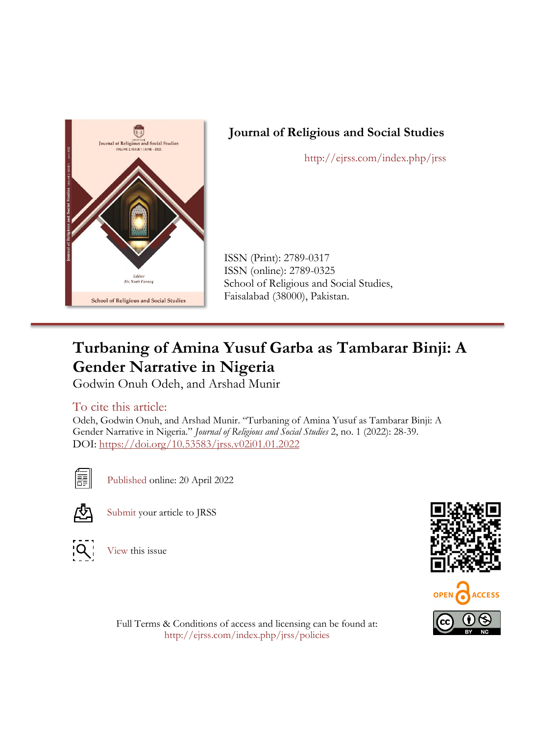

## **Journal of Religious and Social Studies**

http://ejrss.com/index.php/jrss

ISSN (Print): 2789-0317 ISSN (online): 2789-0325 School of Religious and Social Studies, Faisalabad (38000), Pakistan.

# **Turbaning of Amina Yusuf Garba as Tambarar Binji: A Gender Narrative in Nigeria**

Godwin Onuh Odeh, and Arshad Munir

## To cite this article:

Odeh, Godwin Onuh, and Arshad Munir. "Turbaning of Amina Yusuf as Tambarar Binji: A Gender Narrative in Nigeria." *Journal of Religious and Social Studies* 2, no. 1 (2022): 28-39. DOI: [https://doi.org/10.53583/jrss.v02i01.01.2022](https://doi.org/10.53583/jrss01.0102.2021)



[Published](http://ejrss.com/index.php/jrss/article/view/23/8) online: 20 April 2022



[Submit](http://ejrss.com/index.php/jrss/about/submissions) your article to JRSS



[View](http://ejrss.com/index.php/jrss/issue/view/3) this issue





Full Terms & Conditions of access and licensing can be found at: http://ejrss.com/index.php/jrss/policies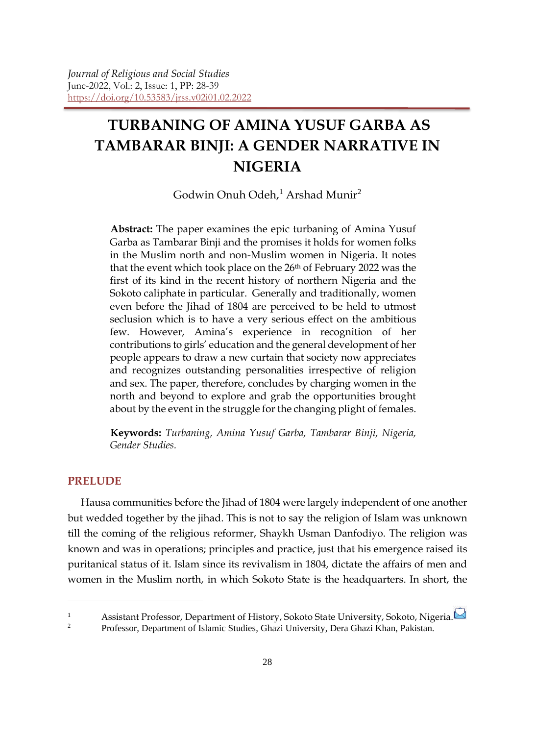## **TURBANING OF AMINA YUSUF GARBA AS TAMBARAR BINJI: A GENDER NARRATIVE IN NIGERIA**

Godwin Onuh Odeh, <sup>1</sup> Arshad Munir<sup>2</sup>

**Abstract:** The paper examines the epic turbaning of Amina Yusuf Garba as Tambarar Binji and the promises it holds for women folks in the Muslim north and non-Muslim women in Nigeria. It notes that the event which took place on the 26<sup>th</sup> of February 2022 was the first of its kind in the recent history of northern Nigeria and the Sokoto caliphate in particular. Generally and traditionally, women even before the Jihad of 1804 are perceived to be held to utmost seclusion which is to have a very serious effect on the ambitious few. However, Amina's experience in recognition of her contributions to girls' education and the general development of her people appears to draw a new curtain that society now appreciates and recognizes outstanding personalities irrespective of religion and sex. The paper, therefore, concludes by charging women in the north and beyond to explore and grab the opportunities brought about by the event in the struggle for the changing plight of females.

**Keywords:** *Turbaning, Amina Yusuf Garba, Tambarar Binji, Nigeria, Gender Studies.*

#### **PRELUDE**

1

Hausa communities before the Jihad of 1804 were largely independent of one another but wedded together by the jihad. This is not to say the religion of Islam was unknown till the coming of the religious reformer, Shaykh Usman Danfodiyo. The religion was known and was in operations; principles and practice, just that his emergence raised its puritanical status of it. Islam since its revivalism in 1804, dictate the affairs of men and women in the Muslim north, in which Sokoto State is the headquarters. In short, the

<sup>1</sup><br>Assistant Professor, Department of History, Sokoto State University, Sokoto, Nigeria.

<sup>2</sup> Professor, Department of Islamic Studies, Ghazi University, Dera Ghazi Khan, Pakistan.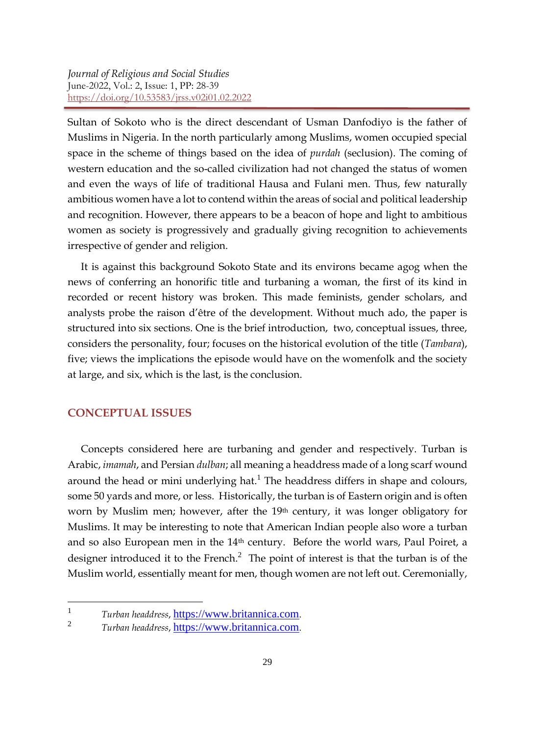Sultan of Sokoto who is the direct descendant of Usman Danfodiyo is the father of Muslims in Nigeria. In the north particularly among Muslims, women occupied special space in the scheme of things based on the idea of *purdah* (seclusion). The coming of western education and the so-called civilization had not changed the status of women and even the ways of life of traditional Hausa and Fulani men. Thus, few naturally ambitious women have a lot to contend within the areas of social and political leadership and recognition. However, there appears to be a beacon of hope and light to ambitious women as society is progressively and gradually giving recognition to achievements irrespective of gender and religion.

It is against this background Sokoto State and its environs became agog when the news of conferring an honorific title and turbaning a woman, the first of its kind in recorded or recent history was broken. This made feminists, gender scholars, and analysts probe the raison d'être of the development. Without much ado, the paper is structured into six sections. One is the brief introduction, two, conceptual issues, three, considers the personality, four; focuses on the historical evolution of the title (*Tambara*), five; views the implications the episode would have on the womenfolk and the society at large, and six, which is the last, is the conclusion.

#### **CONCEPTUAL ISSUES**

1

Concepts considered here are turbaning and gender and respectively. Turban is Arabic, *imamah*, and Persian *dulban*; all meaning a headdress made of a long scarf wound around the head or mini underlying hat.<sup>1</sup> The headdress differs in shape and colours, some 50 yards and more, or less. Historically, the turban is of Eastern origin and is often worn by Muslim men; however, after the 19th century, it was longer obligatory for Muslims. It may be interesting to note that American Indian people also wore a turban and so also European men in the 14th century. Before the world wars, Paul Poiret, a designer introduced it to the French. $<sup>2</sup>$  The point of interest is that the turban is of the</sup> Muslim world, essentially meant for men, though women are not left out. Ceremonially,

<sup>&</sup>lt;sup>1</sup> *Turban headdress*, <u>[https://www.britannica.com](https://www.britannica.com/)</u>.<br><sup>2</sup> *Turban headdress*, https://www.britannica.com.

<sup>2</sup> *Turban headdress*, [https://www.britannica.com](https://www.britannica.com/).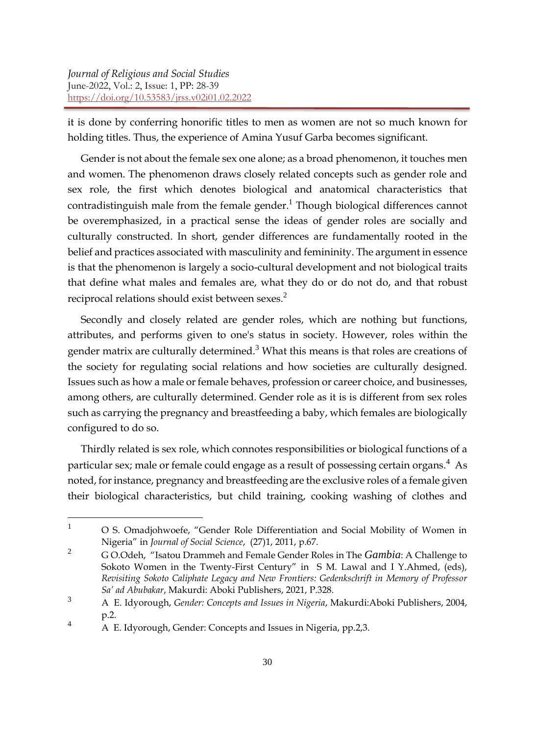it is done by conferring honorific titles to men as women are not so much known for holding titles. Thus, the experience of Amina Yusuf Garba becomes significant.

Gender is not about the female sex one alone; as a broad phenomenon, it touches men and women. The phenomenon draws closely related concepts such as gender role and sex role, the first which denotes biological and anatomical characteristics that contradistinguish male from the female gender. <sup>1</sup> Though biological differences cannot be overemphasized, in a practical sense the ideas of gender roles are socially and culturally constructed. In short, gender differences are fundamentally rooted in the belief and practices associated with masculinity and femininity. The argument in essence is that the phenomenon is largely a socio-cultural development and not biological traits that define what males and females are, what they do or do not do, and that robust reciprocal relations should exist between sexes.<sup>2</sup>

Secondly and closely related are gender roles, which are nothing but functions, attributes, and performs given to one's status in society. However, roles within the gender matrix are culturally determined.<sup>3</sup> What this means is that roles are creations of the society for regulating social relations and how societies are culturally designed. Issues such as how a male or female behaves, profession or career choice, and businesses, among others, are culturally determined. Gender role as it is is different from sex roles such as carrying the pregnancy and breastfeeding a baby, which females are biologically configured to do so.

Thirdly related is sex role, which connotes responsibilities or biological functions of a particular sex; male or female could engage as a result of possessing certain organs.<sup>4</sup> As noted, for instance, pregnancy and breastfeeding are the exclusive roles of a female given their biological characteristics, but child training, cooking washing of clothes and

 $\mathbf{1}$ <sup>1</sup> O S. Omadjohwoefe, "Gender Role Differentiation and Social Mobility of Women in Nigeria" in *Journal of Social Science*, (27)1, 2011, p.67.

<sup>2</sup> G O.Odeh, "Isatou Drammeh and Female Gender Roles in The *Gambia*: A Challenge to Sokoto Women in the Twenty-First Century" in S M. Lawal and I Y.Ahmed, (eds), *Revisiting Sokoto Caliphate Legacy and New Frontiers: Gedenkschrift in Memory of Professor Sa' ad Abubakar*, Makurdi: Aboki Publishers, 2021, P.328.

<sup>3</sup> A E. Idyorough, *Gender: Concepts and Issues in Nigeria*, Makurdi:Aboki Publishers, 2004, p.2.

<sup>4</sup> A E. Idyorough, Gender: Concepts and Issues in Nigeria, pp.2,3.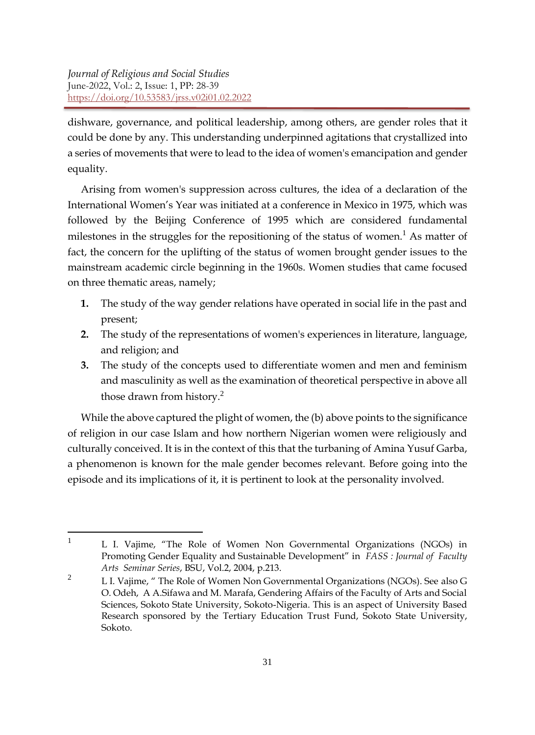**.** 

dishware, governance, and political leadership, among others, are gender roles that it could be done by any. This understanding underpinned agitations that crystallized into a series of movements that were to lead to the idea of women's emancipation and gender equality.

Arising from women's suppression across cultures, the idea of a declaration of the International Women's Year was initiated at a conference in Mexico in 1975, which was followed by the Beijing Conference of 1995 which are considered fundamental milestones in the struggles for the repositioning of the status of women.<sup>1</sup> As matter of fact, the concern for the uplifting of the status of women brought gender issues to the mainstream academic circle beginning in the 1960s. Women studies that came focused on three thematic areas, namely;

- **1.** The study of the way gender relations have operated in social life in the past and present;
- **2.** The study of the representations of women's experiences in literature, language, and religion; and
- **3.** The study of the concepts used to differentiate women and men and feminism and masculinity as well as the examination of theoretical perspective in above all those drawn from history.<sup>2</sup>

While the above captured the plight of women, the (b) above points to the significance of religion in our case Islam and how northern Nigerian women were religiously and culturally conceived. It is in the context of this that the turbaning of Amina Yusuf Garba, a phenomenon is known for the male gender becomes relevant. Before going into the episode and its implications of it, it is pertinent to look at the personality involved.

<sup>&</sup>lt;sup>1</sup> L I. Vajime, "The Role of Women Non Governmental Organizations (NGOs) in Promoting Gender Equality and Sustainable Development" in *FASS : Journal of Faculty Arts Seminar Series*, BSU, Vol.2, 2004, p.213.

<sup>&</sup>lt;sup>2</sup> L I. Vajime,  $\degree$  The Role of Women Non Governmental Organizations (NGOs). See also G O. Odeh, A A.Sifawa and M. Marafa, Gendering Affairs of the Faculty of Arts and Social Sciences, Sokoto State University, Sokoto-Nigeria. This is an aspect of University Based Research sponsored by the Tertiary Education Trust Fund, Sokoto State University, Sokoto.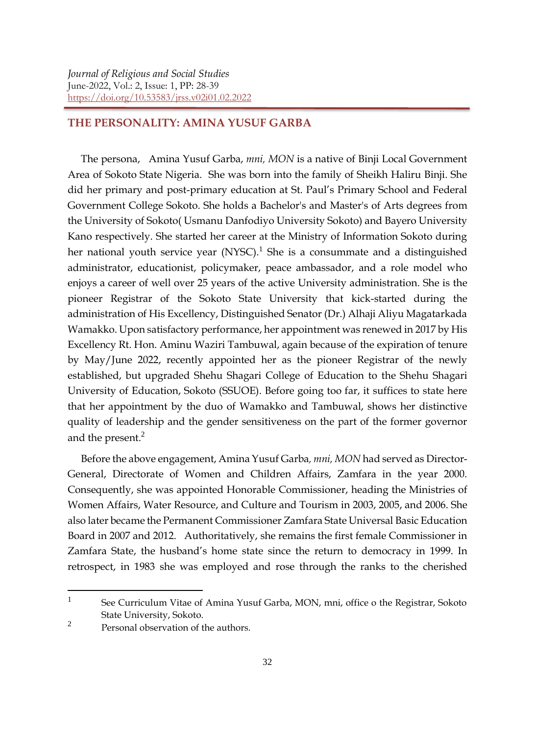#### **THE PERSONALITY: AMINA YUSUF GARBA**

The persona, Amina Yusuf Garba, *mni, MON* is a native of Binji Local Government Area of Sokoto State Nigeria. She was born into the family of Sheikh Haliru Binji. She did her primary and post-primary education at St. Paul's Primary School and Federal Government College Sokoto. She holds a Bachelor's and Master's of Arts degrees from the University of Sokoto( Usmanu Danfodiyo University Sokoto) and Bayero University Kano respectively. She started her career at the Ministry of Information Sokoto during her national youth service year  $(NYSC)^{1}$  She is a consummate and a distinguished administrator, educationist, policymaker, peace ambassador, and a role model who enjoys a career of well over 25 years of the active University administration. She is the pioneer Registrar of the Sokoto State University that kick-started during the administration of His Excellency, Distinguished Senator (Dr.) Alhaji Aliyu Magatarkada Wamakko. Upon satisfactory performance, her appointment was renewed in 2017 by His Excellency Rt. Hon. Aminu Waziri Tambuwal, again because of the expiration of tenure by May/June 2022, recently appointed her as the pioneer Registrar of the newly established, but upgraded Shehu Shagari College of Education to the Shehu Shagari University of Education, Sokoto (SSUOE). Before going too far, it suffices to state here that her appointment by the duo of Wamakko and Tambuwal, shows her distinctive quality of leadership and the gender sensitiveness on the part of the former governor and the present. $<sup>2</sup>$ </sup>

Before the above engagement, Amina Yusuf Garba*, mni, MON* had served as Director-General, Directorate of Women and Children Affairs, Zamfara in the year 2000. Consequently, she was appointed Honorable Commissioner, heading the Ministries of Women Affairs, Water Resource, and Culture and Tourism in 2003, 2005, and 2006. She also later became the Permanent Commissioner Zamfara State Universal Basic Education Board in 2007 and 2012. Authoritatively, she remains the first female Commissioner in Zamfara State, the husband's home state since the return to democracy in 1999. In retrospect, in 1983 she was employed and rose through the ranks to the cherished

**.** 

<sup>1</sup> See Curriculum Vitae of Amina Yusuf Garba, MON, mni, office o the Registrar, Sokoto State University, Sokoto.

 $\mathfrak{D}$ Personal observation of the authors.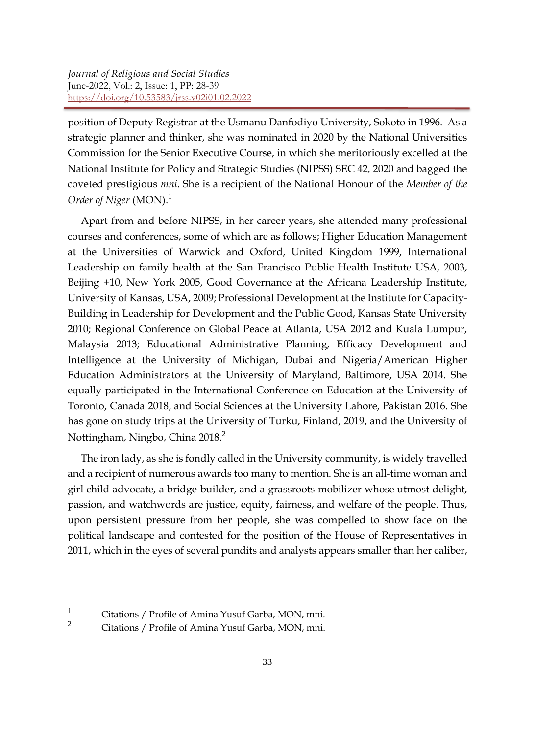position of Deputy Registrar at the Usmanu Danfodiyo University, Sokoto in 1996. As a strategic planner and thinker, she was nominated in 2020 by the National Universities Commission for the Senior Executive Course, in which she meritoriously excelled at the National Institute for Policy and Strategic Studies (NIPSS) SEC 42, 2020 and bagged the coveted prestigious *mni*. She is a recipient of the National Honour of the *Member of the Order of Niger* (MON).<sup>1</sup>

Apart from and before NIPSS, in her career years, she attended many professional courses and conferences, some of which are as follows; Higher Education Management at the Universities of Warwick and Oxford, United Kingdom 1999, International Leadership on family health at the San Francisco Public Health Institute USA, 2003, Beijing +10, New York 2005, Good Governance at the Africana Leadership Institute, University of Kansas, USA, 2009; Professional Development at the Institute for Capacity-Building in Leadership for Development and the Public Good, Kansas State University 2010; Regional Conference on Global Peace at Atlanta, USA 2012 and Kuala Lumpur, Malaysia 2013; Educational Administrative Planning, Efficacy Development and Intelligence at the University of Michigan, Dubai and Nigeria/American Higher Education Administrators at the University of Maryland, Baltimore, USA 2014. She equally participated in the International Conference on Education at the University of Toronto, Canada 2018, and Social Sciences at the University Lahore, Pakistan 2016. She has gone on study trips at the University of Turku, Finland, 2019, and the University of Nottingham, Ningbo, China 2018.<sup>2</sup>

The iron lady, as she is fondly called in the University community, is widely travelled and a recipient of numerous awards too many to mention. She is an all-time woman and girl child advocate, a bridge-builder, and a grassroots mobilizer whose utmost delight, passion, and watchwords are justice, equity, fairness, and welfare of the people. Thus, upon persistent pressure from her people, she was compelled to show face on the political landscape and contested for the position of the House of Representatives in 2011, which in the eyes of several pundits and analysts appears smaller than her caliber,

1

<sup>1</sup> Citations / Profile of Amina Yusuf Garba, MON, mni.

Citations / Profile of Amina Yusuf Garba, MON, mni.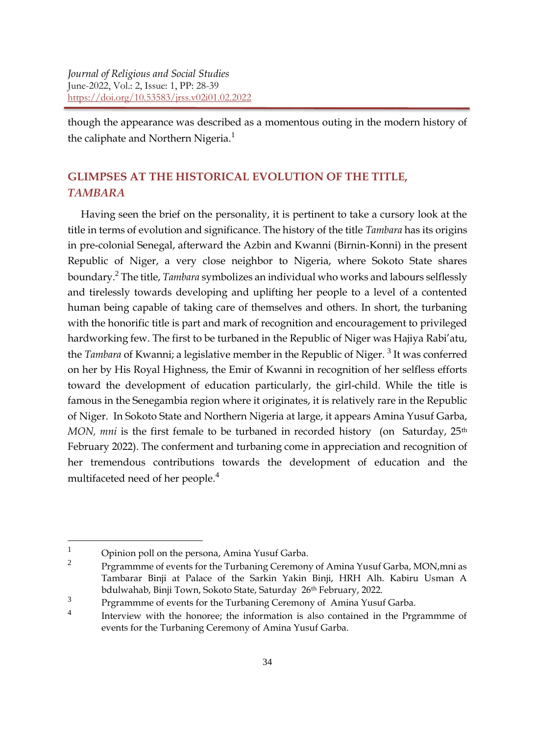though the appearance was described as a momentous outing in the modern history of the caliphate and Northern Nigeria.<sup>1</sup>

### **GLIMPSES AT THE HISTORICAL EVOLUTION OF THE TITLE,**  *TAMBARA*

Having seen the brief on the personality, it is pertinent to take a cursory look at the title in terms of evolution and significance. The history of the title *Tambara* has its origins in pre-colonial Senegal, afterward the Azbin and Kwanni (Birnin-Konni) in the present Republic of Niger, a very close neighbor to Nigeria, where Sokoto State shares boundary.<sup>2</sup> The title, *Tambara* symbolizes an individual who works and labours selflessly and tirelessly towards developing and uplifting her people to a level of a contented human being capable of taking care of themselves and others. In short, the turbaning with the honorific title is part and mark of recognition and encouragement to privileged hardworking few. The first to be turbaned in the Republic of Niger was Hajiya Rabi'atu, the *Tambara* of Kwanni; a legislative member in the Republic of Niger.<sup>3</sup> It was conferred on her by His Royal Highness, the Emir of Kwanni in recognition of her selfless efforts toward the development of education particularly, the girl-child. While the title is famous in the Senegambia region where it originates, it is relatively rare in the Republic of Niger. In Sokoto State and Northern Nigeria at large, it appears Amina Yusuf Garba, *MON, mni* is the first female to be turbaned in recorded history (on Saturday, 25<sup>th</sup>) February 2022). The conferment and turbaning come in appreciation and recognition of her tremendous contributions towards the development of education and the multifaceted need of her people.<sup>4</sup>

1

 $1$  Opinion poll on the persona, Amina Yusuf Garba.

 $\overline{2}$ Prgrammme of events for the Turbaning Ceremony of Amina Yusuf Garba, MON,mni as Tambarar Binji at Palace of the Sarkin Yakin Binji, HRH Alh. Kabiru Usman A bdulwahab, Binji Town, Sokoto State, Saturday 26th February, 2022.

<sup>3</sup> Prgrammme of events for the Turbaning Ceremony of Amina Yusuf Garba.

<sup>4</sup> Interview with the honoree; the information is also contained in the Prgrammme of events for the Turbaning Ceremony of Amina Yusuf Garba.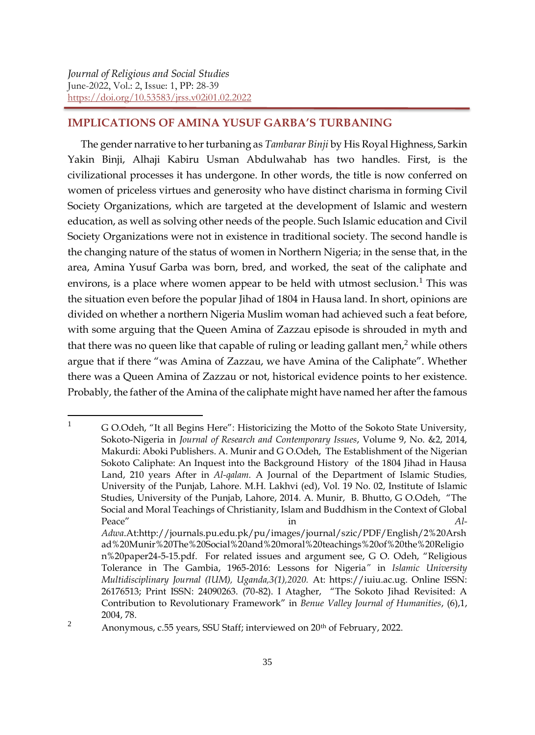#### **IMPLICATIONS OF AMINA YUSUF GARBA'S TURBANING**

The gender narrative to her turbaning as *Tambarar Binji* by His Royal Highness, Sarkin Yakin Binji, Alhaji Kabiru Usman Abdulwahab has two handles. First, is the civilizational processes it has undergone. In other words, the title is now conferred on women of priceless virtues and generosity who have distinct charisma in forming Civil Society Organizations, which are targeted at the development of Islamic and western education, as well as solving other needs of the people. Such Islamic education and Civil Society Organizations were not in existence in traditional society. The second handle is the changing nature of the status of women in Northern Nigeria; in the sense that, in the area, Amina Yusuf Garba was born, bred, and worked, the seat of the caliphate and environs, is a place where women appear to be held with utmost seclusion.<sup>1</sup> This was the situation even before the popular Jihad of 1804 in Hausa land. In short, opinions are divided on whether a northern Nigeria Muslim woman had achieved such a feat before, with some arguing that the Queen Amina of Zazzau episode is shrouded in myth and that there was no queen like that capable of ruling or leading gallant men,<sup>2</sup> while others argue that if there "was Amina of Zazzau, we have Amina of the Caliphate". Whether there was a Queen Amina of Zazzau or not, historical evidence points to her existence. Probably, the father of the Amina of the caliphate might have named her after the famous

 $\mathbf{1}$ <sup>1</sup> G O.Odeh, "It all Begins Here": Historicizing the Motto of the Sokoto State University, Sokoto-Nigeria in *Journal of Research and Contemporary Issues*, Volume 9, No. &2, 2014, Makurdi: Aboki Publishers. A. Munir and G O.Odeh, The Establishment of the Nigerian Sokoto Caliphate: An Inquest into the Background History of the 1804 Jihad in Hausa Land, 210 years After in *Al-qalam.* A Journal of the Department of Islamic Studies*,* University of the Punjab, Lahore. M.H. Lakhvi (ed), Vol. 19 No. 02, Institute of Islamic Studies, University of the Punjab, Lahore, 2014. A. Munir, B. Bhutto, G O.Odeh, "The Social and Moral Teachings of Christianity, Islam and Buddhism in the Context of Global Peace" and **in**  $\overline{A}$  in  $\overline{A}$ *Adwa*.At:http://journals.pu.edu.pk/pu/images/journal/szic/PDF/English/2%20Arsh ad%20Munir%20The%20Social%20and%20moral%20teachings%20of%20the%20Religio n%20paper24-5-15.pdf. For related issues and argument see, G O. Odeh, "Religious Tolerance in The Gambia, 1965-2016: Lessons for Nigeria*"* in *Islamic University Multidisciplinary Journal (IUM), Uganda,3(1),2020.* At: https://iuiu.ac.ug. Online ISSN: 26176513; Print ISSN: 24090263. (70-82). I Atagher, "The Sokoto Jihad Revisited: A Contribution to Revolutionary Framework" in *Benue Valley Journal of Humanities*, (6),1, 2004, 78.

<sup>&</sup>lt;sup>2</sup> Anonymous, c.55 years, SSU Staff; interviewed on  $20<sup>th</sup>$  of February, 2022.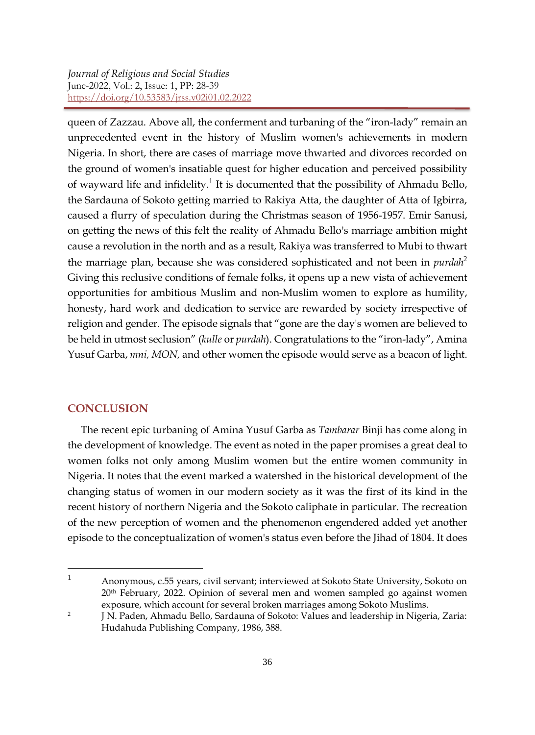queen of Zazzau. Above all, the conferment and turbaning of the "iron-lady" remain an unprecedented event in the history of Muslim women's achievements in modern Nigeria. In short, there are cases of marriage move thwarted and divorces recorded on the ground of women's insatiable quest for higher education and perceived possibility of wayward life and infidelity.<sup>1</sup> It is documented that the possibility of Ahmadu Bello, the Sardauna of Sokoto getting married to Rakiya Atta, the daughter of Atta of Igbirra, caused a flurry of speculation during the Christmas season of 1956-1957. Emir Sanusi, on getting the news of this felt the reality of Ahmadu Bello's marriage ambition might cause a revolution in the north and as a result, Rakiya was transferred to Mubi to thwart the marriage plan, because she was considered sophisticated and not been in *purdah*<sup>2</sup> Giving this reclusive conditions of female folks, it opens up a new vista of achievement opportunities for ambitious Muslim and non-Muslim women to explore as humility, honesty, hard work and dedication to service are rewarded by society irrespective of religion and gender. The episode signals that "gone are the day's women are believed to be held in utmost seclusion" (*kulle* or *purdah*). Congratulations to the "iron-lady", Amina Yusuf Garba, *mni, MON,* and other women the episode would serve as a beacon of light.

#### **CONCLUSION**

1

The recent epic turbaning of Amina Yusuf Garba as *Tambarar* Binji has come along in the development of knowledge. The event as noted in the paper promises a great deal to women folks not only among Muslim women but the entire women community in Nigeria. It notes that the event marked a watershed in the historical development of the changing status of women in our modern society as it was the first of its kind in the recent history of northern Nigeria and the Sokoto caliphate in particular. The recreation of the new perception of women and the phenomenon engendered added yet another episode to the conceptualization of women's status even before the Jihad of 1804. It does

<sup>&</sup>lt;sup>1</sup> Anonymous, c.55 years, civil servant; interviewed at Sokoto State University, Sokoto on 20th February, 2022. Opinion of several men and women sampled go against women exposure, which account for several broken marriages among Sokoto Muslims.

<sup>2</sup> J N. Paden, Ahmadu Bello, Sardauna of Sokoto: Values and leadership in Nigeria, Zaria: Hudahuda Publishing Company, 1986, 388.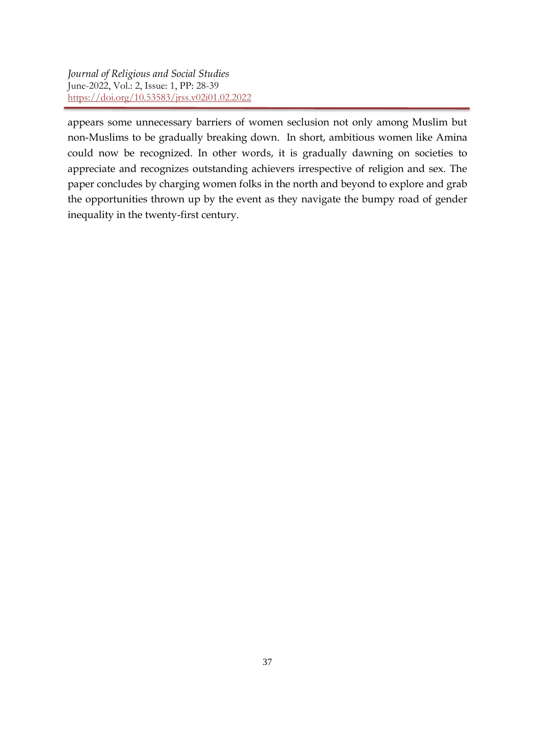appears some unnecessary barriers of women seclusion not only among Muslim but non-Muslims to be gradually breaking down. In short, ambitious women like Amina could now be recognized. In other words, it is gradually dawning on societies to appreciate and recognizes outstanding achievers irrespective of religion and sex. The paper concludes by charging women folks in the north and beyond to explore and grab the opportunities thrown up by the event as they navigate the bumpy road of gender inequality in the twenty-first century.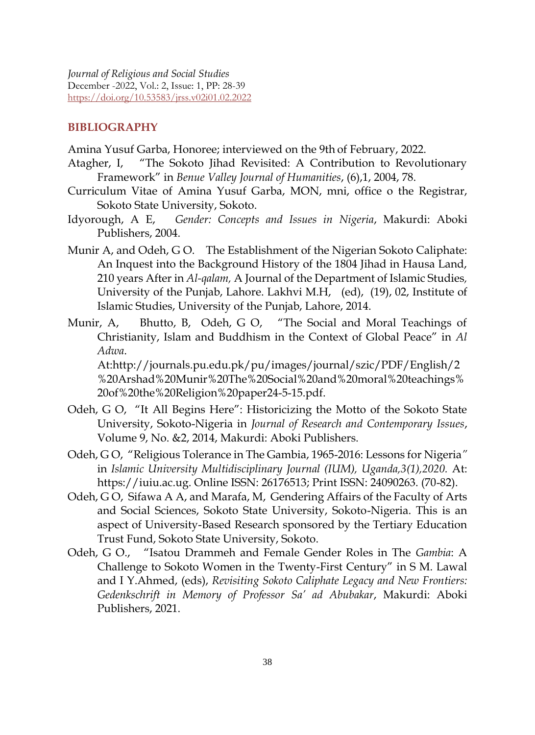#### **BIBLIOGRAPHY**

Amina Yusuf Garba, Honoree; interviewed on the 9th of February, 2022.

- Atagher, I, "The Sokoto Jihad Revisited: A Contribution to Revolutionary Framework" in *Benue Valley Journal of Humanities*, (6),1, 2004, 78.
- Curriculum Vitae of Amina Yusuf Garba, MON, mni, office o the Registrar, Sokoto State University, Sokoto.
- Idyorough, A E, *Gender: Concepts and Issues in Nigeria*, Makurdi: Aboki Publishers, 2004.
- Munir A, and Odeh, G O. The Establishment of the Nigerian Sokoto Caliphate: An Inquest into the Background History of the 1804 Jihad in Hausa Land, 210 years After in *Al-qalam,* A Journal of the Department of Islamic Studies*,* University of the Punjab, Lahore. Lakhvi M.H, (ed), (19), 02, Institute of Islamic Studies, University of the Punjab, Lahore, 2014.
- Munir, A, Bhutto, B, Odeh, G O, "The Social and Moral Teachings of Christianity, Islam and Buddhism in the Context of Global Peace" in *Al Adwa*.

At:http://journals.pu.edu.pk/pu/images/journal/szic/PDF/English/2 %20Arshad%20Munir%20The%20Social%20and%20moral%20teachings% 20of%20the%20Religion%20paper24-5-15.pdf.

- Odeh, G O, "It All Begins Here": Historicizing the Motto of the Sokoto State University, Sokoto-Nigeria in *Journal of Research and Contemporary Issues*, Volume 9, No. &2, 2014, Makurdi: Aboki Publishers.
- Odeh, G O, "Religious Tolerance in The Gambia, 1965-2016: Lessons for Nigeria*"*  in *Islamic University Multidisciplinary Journal (IUM), Uganda,3(1),2020.* At: https://iuiu.ac.ug. Online ISSN: 26176513; Print ISSN: 24090263. (70-82).
- Odeh, G O, Sifawa A A, and Marafa, M, Gendering Affairs of the Faculty of Arts and Social Sciences, Sokoto State University, Sokoto-Nigeria. This is an aspect of University-Based Research sponsored by the Tertiary Education Trust Fund, Sokoto State University, Sokoto.
- Odeh, G O., "Isatou Drammeh and Female Gender Roles in The *Gambia*: A Challenge to Sokoto Women in the Twenty-First Century" in S M. Lawal and I Y.Ahmed, (eds), *Revisiting Sokoto Caliphate Legacy and New Frontiers: Gedenkschrift in Memory of Professor Sa' ad Abubakar*, Makurdi: Aboki Publishers, 2021.